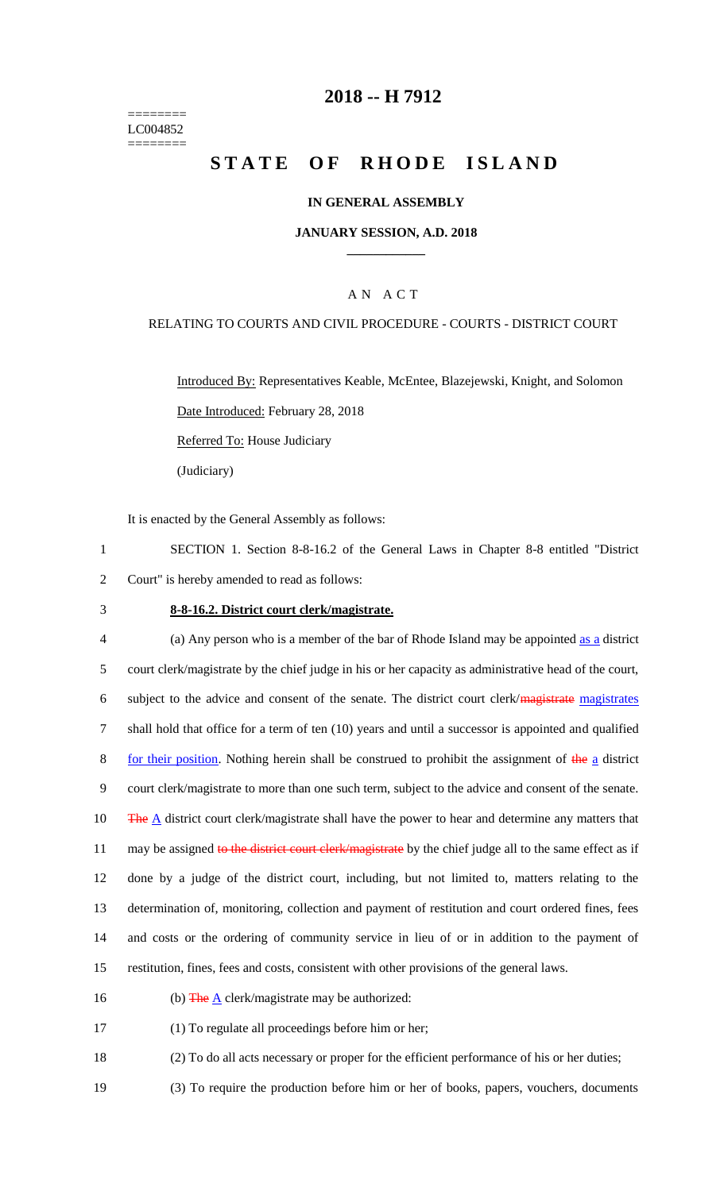======== LC004852 ========

### **2018 -- H 7912**

# **STATE OF RHODE ISLAND**

#### **IN GENERAL ASSEMBLY**

#### **JANUARY SESSION, A.D. 2018 \_\_\_\_\_\_\_\_\_\_\_\_**

#### A N A C T

## RELATING TO COURTS AND CIVIL PROCEDURE - COURTS - DISTRICT COURT

Introduced By: Representatives Keable, McEntee, Blazejewski, Knight, and Solomon Date Introduced: February 28, 2018 Referred To: House Judiciary

(Judiciary)

It is enacted by the General Assembly as follows:

1 SECTION 1. Section 8-8-16.2 of the General Laws in Chapter 8-8 entitled "District 2 Court" is hereby amended to read as follows:

#### 3 **8-8-16.2. District court clerk/magistrate.**

 (a) Any person who is a member of the bar of Rhode Island may be appointed as a district court clerk/magistrate by the chief judge in his or her capacity as administrative head of the court, subject to the advice and consent of the senate. The district court clerk/magistrate magistrates shall hold that office for a term of ten (10) years and until a successor is appointed and qualified 8 for their position. Nothing herein shall be construed to prohibit the assignment of the a district court clerk/magistrate to more than one such term, subject to the advice and consent of the senate. 10 The  $\overline{A}$  district court clerk/magistrate shall have the power to hear and determine any matters that 11 may be assigned to the district court clerk/magistrate by the chief judge all to the same effect as if done by a judge of the district court, including, but not limited to, matters relating to the determination of, monitoring, collection and payment of restitution and court ordered fines, fees and costs or the ordering of community service in lieu of or in addition to the payment of restitution, fines, fees and costs, consistent with other provisions of the general laws.

16 (b) The  $\underline{A}$  clerk/magistrate may be authorized:

17 (1) To regulate all proceedings before him or her;

18 (2) To do all acts necessary or proper for the efficient performance of his or her duties;

19 (3) To require the production before him or her of books, papers, vouchers, documents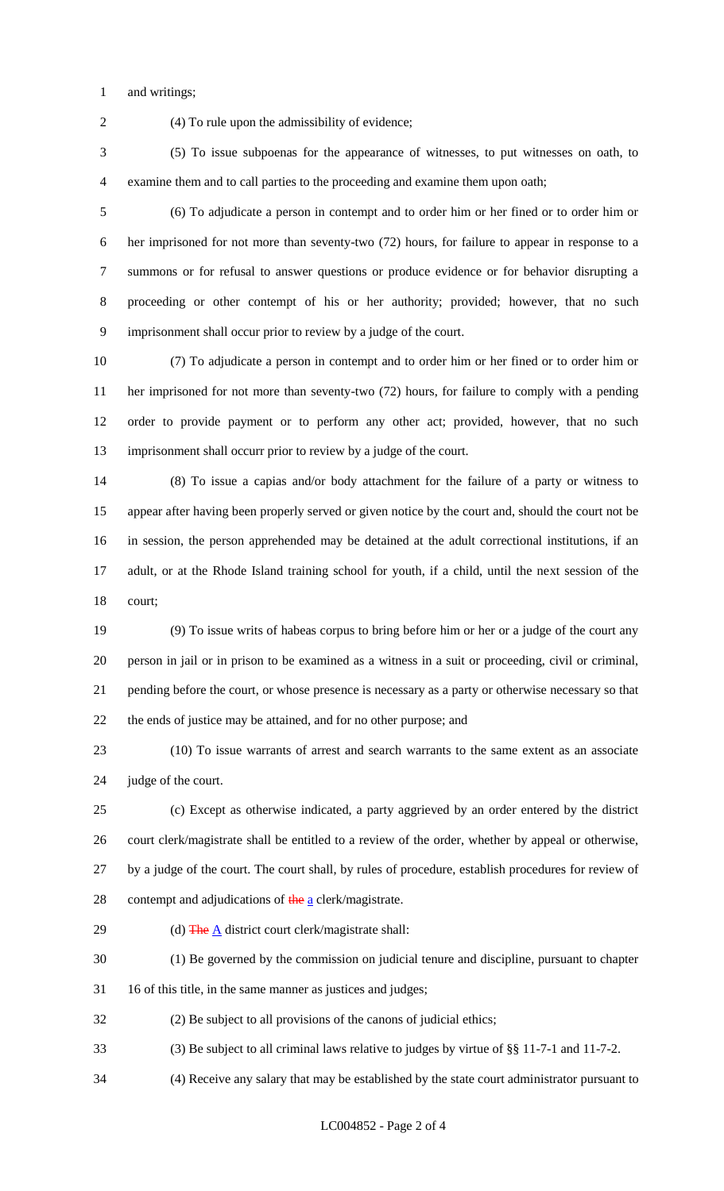and writings;

(4) To rule upon the admissibility of evidence;

 (5) To issue subpoenas for the appearance of witnesses, to put witnesses on oath, to examine them and to call parties to the proceeding and examine them upon oath;

 (6) To adjudicate a person in contempt and to order him or her fined or to order him or her imprisoned for not more than seventy-two (72) hours, for failure to appear in response to a summons or for refusal to answer questions or produce evidence or for behavior disrupting a proceeding or other contempt of his or her authority; provided; however, that no such imprisonment shall occur prior to review by a judge of the court.

 (7) To adjudicate a person in contempt and to order him or her fined or to order him or her imprisoned for not more than seventy-two (72) hours, for failure to comply with a pending order to provide payment or to perform any other act; provided, however, that no such imprisonment shall occurr prior to review by a judge of the court.

 (8) To issue a capias and/or body attachment for the failure of a party or witness to appear after having been properly served or given notice by the court and, should the court not be in session, the person apprehended may be detained at the adult correctional institutions, if an adult, or at the Rhode Island training school for youth, if a child, until the next session of the court;

 (9) To issue writs of habeas corpus to bring before him or her or a judge of the court any person in jail or in prison to be examined as a witness in a suit or proceeding, civil or criminal, pending before the court, or whose presence is necessary as a party or otherwise necessary so that the ends of justice may be attained, and for no other purpose; and

 (10) To issue warrants of arrest and search warrants to the same extent as an associate judge of the court.

 (c) Except as otherwise indicated, a party aggrieved by an order entered by the district court clerk/magistrate shall be entitled to a review of the order, whether by appeal or otherwise, by a judge of the court. The court shall, by rules of procedure, establish procedures for review of 28 contempt and adjudications of  $\frac{\text{the}}{\text{a}}$  clerk/magistrate.

29 (d)  $\frac{1}{2}$  (d)  $\frac{1}{2}$  district court clerk/magistrate shall:

(1) Be governed by the commission on judicial tenure and discipline, pursuant to chapter

16 of this title, in the same manner as justices and judges;

(2) Be subject to all provisions of the canons of judicial ethics;

(3) Be subject to all criminal laws relative to judges by virtue of §§ 11-7-1 and 11-7-2.

(4) Receive any salary that may be established by the state court administrator pursuant to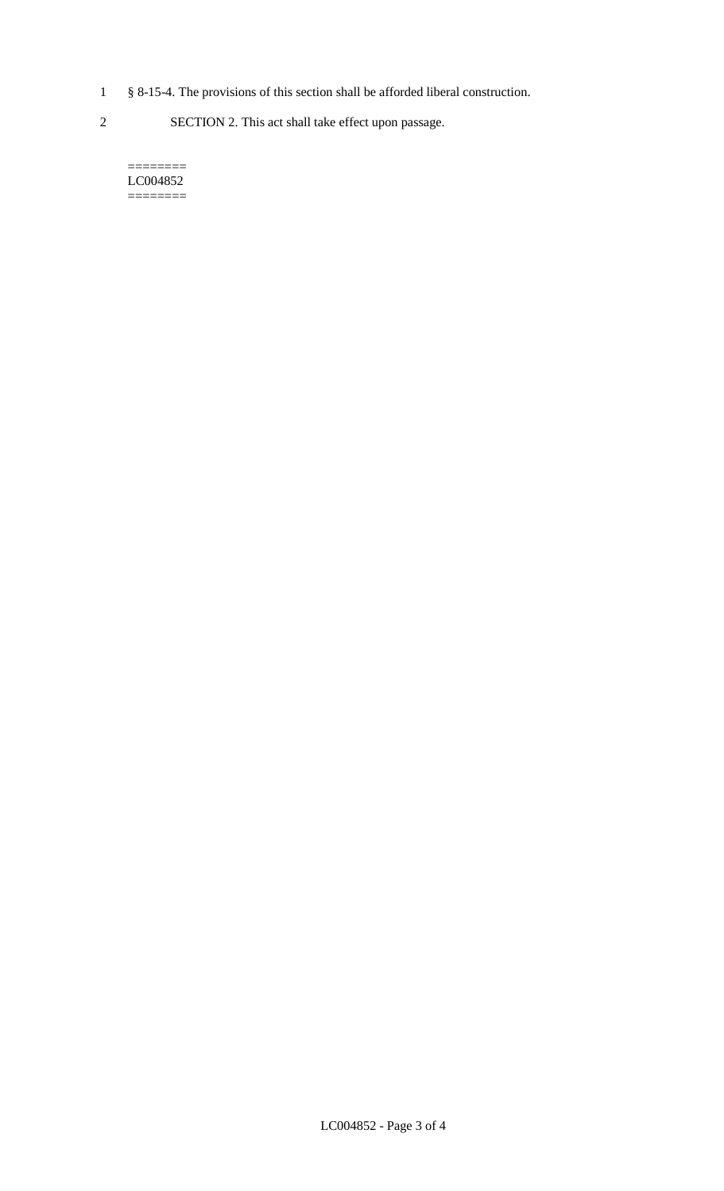- 1 § 8-15-4. The provisions of this section shall be afforded liberal construction.
- 2 SECTION 2. This act shall take effect upon passage.

======== LC004852  $=$